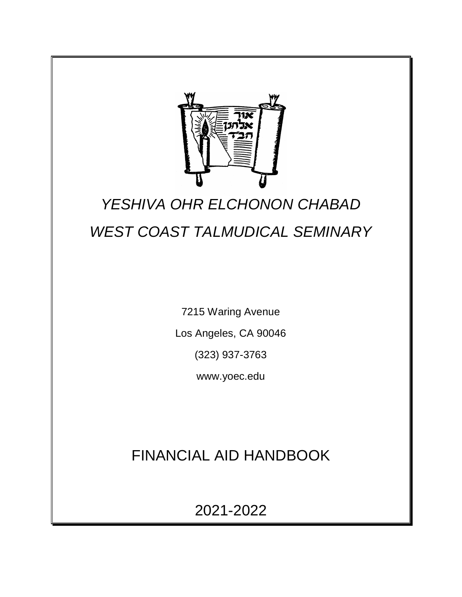

# *YESHIVA OHR ELCHONON CHABAD WEST COAST TALMUDICAL SEMINARY*

7215 Waring Avenue

Los Angeles, CA 90046

(323) 937-3763

www.yoec.edu

# FINANCIAL AID HANDBOOK

2021-2022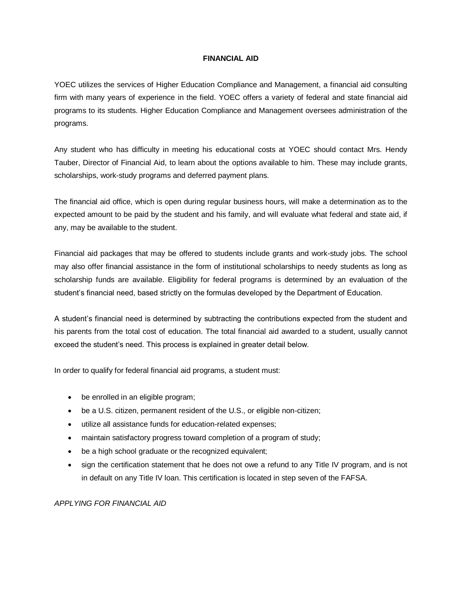#### **FINANCIAL AID**

YOEC utilizes the services of Higher Education Compliance and Management, a financial aid consulting firm with many years of experience in the field. YOEC offers a variety of federal and state financial aid programs to its students. Higher Education Compliance and Management oversees administration of the programs.

Any student who has difficulty in meeting his educational costs at YOEC should contact Mrs. Hendy Tauber, Director of Financial Aid, to learn about the options available to him. These may include grants, scholarships, work-study programs and deferred payment plans.

The financial aid office, which is open during regular business hours, will make a determination as to the expected amount to be paid by the student and his family, and will evaluate what federal and state aid, if any, may be available to the student.

Financial aid packages that may be offered to students include grants and work-study jobs. The school may also offer financial assistance in the form of institutional scholarships to needy students as long as scholarship funds are available. Eligibility for federal programs is determined by an evaluation of the student's financial need, based strictly on the formulas developed by the Department of Education.

A student's financial need is determined by subtracting the contributions expected from the student and his parents from the total cost of education. The total financial aid awarded to a student, usually cannot exceed the student's need. This process is explained in greater detail below.

In order to qualify for federal financial aid programs, a student must:

- be enrolled in an eligible program;
- be a U.S. citizen, permanent resident of the U.S., or eligible non-citizen;
- utilize all assistance funds for education-related expenses;
- maintain satisfactory progress toward completion of a program of study;
- be a high school graduate or the recognized equivalent;
- sign the certification statement that he does not owe a refund to any Title IV program, and is not in default on any Title IV loan. This certification is located in step seven of the FAFSA.

#### *APPLYING FOR FINANCIAL AID*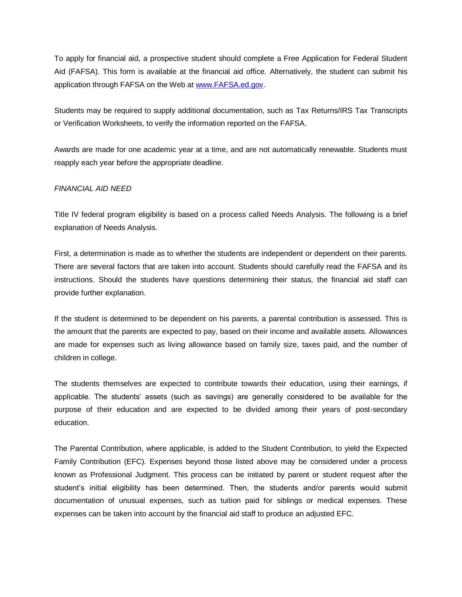To apply for financial aid, a prospective student should complete a Free Application for Federal Student Aid (FAFSA). This form is available at the financial aid office. Alternatively, the student can submit his application through FAFSA on the Web at [www.FAFSA.ed.gov.](www.FAFSA.ed.gov)

Students may be required to supply additional documentation, such as Tax Returns/IRS Tax Transcripts or Verification Worksheets, to verify the information reported on the FAFSA.

Awards are made for one academic year at a time, and are not automatically renewable. Students must reapply each year before the appropriate deadline.

#### *FINANCIAL AID NEED*

Title IV federal program eligibility is based on a process called Needs Analysis. The following is a brief explanation of Needs Analysis.

First, a determination is made as to whether the students are independent or dependent on their parents. There are several factors that are taken into account. Students should carefully read the FAFSA and its instructions. Should the students have questions determining their status, the financial aid staff can provide further explanation.

If the student is determined to be dependent on his parents, a parental contribution is assessed. This is the amount that the parents are expected to pay, based on their income and available assets. Allowances are made for expenses such as living allowance based on family size, taxes paid, and the number of children in college.

The students themselves are expected to contribute towards their education, using their earnings, if applicable. The students' assets (such as savings) are generally considered to be available for the purpose of their education and are expected to be divided among their years of post-secondary education.

The Parental Contribution, where applicable, is added to the Student Contribution, to yield the Expected Family Contribution (EFC). Expenses beyond those listed above may be considered under a process known as Professional Judgment. This process can be initiated by parent or student request after the student's initial eligibility has been determined. Then, the students and/or parents would submit documentation of unusual expenses, such as tuition paid for siblings or medical expenses. These expenses can be taken into account by the financial aid staff to produce an adjusted EFC.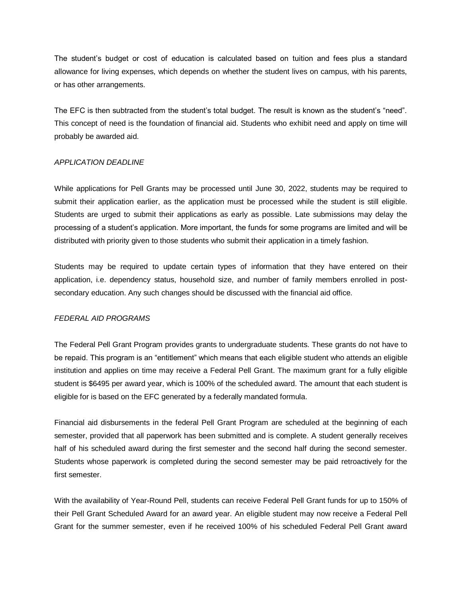The student's budget or cost of education is calculated based on tuition and fees plus a standard allowance for living expenses, which depends on whether the student lives on campus, with his parents, or has other arrangements.

The EFC is then subtracted from the student's total budget. The result is known as the student's "need". This concept of need is the foundation of financial aid. Students who exhibit need and apply on time will probably be awarded aid.

#### *APPLICATION DEADLINE*

While applications for Pell Grants may be processed until June 30, 2022, students may be required to submit their application earlier, as the application must be processed while the student is still eligible. Students are urged to submit their applications as early as possible. Late submissions may delay the processing of a student's application. More important, the funds for some programs are limited and will be distributed with priority given to those students who submit their application in a timely fashion.

Students may be required to update certain types of information that they have entered on their application, i.e. dependency status, household size, and number of family members enrolled in postsecondary education. Any such changes should be discussed with the financial aid office.

#### *FEDERAL AID PROGRAMS*

The Federal Pell Grant Program provides grants to undergraduate students. These grants do not have to be repaid. This program is an "entitlement" which means that each eligible student who attends an eligible institution and applies on time may receive a Federal Pell Grant. The maximum grant for a fully eligible student is \$6495 per award year, which is 100% of the scheduled award. The amount that each student is eligible for is based on the EFC generated by a federally mandated formula.

Financial aid disbursements in the federal Pell Grant Program are scheduled at the beginning of each semester, provided that all paperwork has been submitted and is complete. A student generally receives half of his scheduled award during the first semester and the second half during the second semester. Students whose paperwork is completed during the second semester may be paid retroactively for the first semester

With the availability of Year-Round Pell, students can receive Federal Pell Grant funds for up to 150% of their Pell Grant Scheduled Award for an award year. An eligible student may now receive a Federal Pell Grant for the summer semester, even if he received 100% of his scheduled Federal Pell Grant award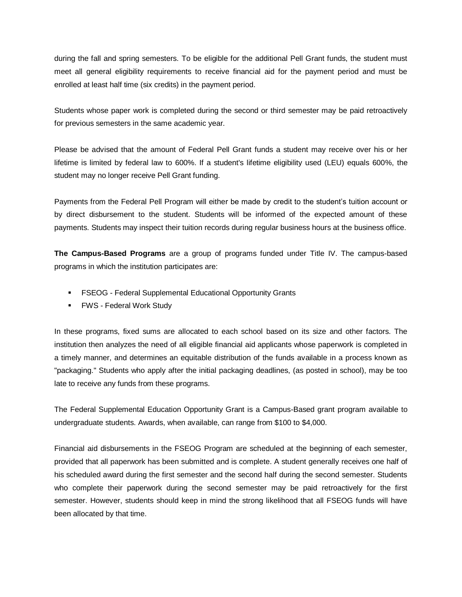during the fall and spring semesters. To be eligible for the additional Pell Grant funds, the student must meet all general eligibility requirements to receive financial aid for the payment period and must be enrolled at least half time (six credits) in the payment period.

Students whose paper work is completed during the second or third semester may be paid retroactively for previous semesters in the same academic year.

Please be advised that the amount of Federal Pell Grant funds a student may receive over his or her lifetime is limited by federal law to 600%. If a student's lifetime eligibility used (LEU) equals 600%, the student may no longer receive Pell Grant funding.

Payments from the Federal Pell Program will either be made by credit to the student's tuition account or by direct disbursement to the student. Students will be informed of the expected amount of these payments. Students may inspect their tuition records during regular business hours at the business office.

**The Campus-Based Programs** are a group of programs funded under Title IV. The campus-based programs in which the institution participates are:

- **FICULE Federal Supplemental Educational Opportunity Grants**
- **FWS Federal Work Study**

In these programs, fixed sums are allocated to each school based on its size and other factors. The institution then analyzes the need of all eligible financial aid applicants whose paperwork is completed in a timely manner, and determines an equitable distribution of the funds available in a process known as "packaging." Students who apply after the initial packaging deadlines, (as posted in school), may be too late to receive any funds from these programs.

The Federal Supplemental Education Opportunity Grant is a Campus-Based grant program available to undergraduate students. Awards, when available, can range from \$100 to \$4,000.

Financial aid disbursements in the FSEOG Program are scheduled at the beginning of each semester, provided that all paperwork has been submitted and is complete. A student generally receives one half of his scheduled award during the first semester and the second half during the second semester. Students who complete their paperwork during the second semester may be paid retroactively for the first semester. However, students should keep in mind the strong likelihood that all FSEOG funds will have been allocated by that time.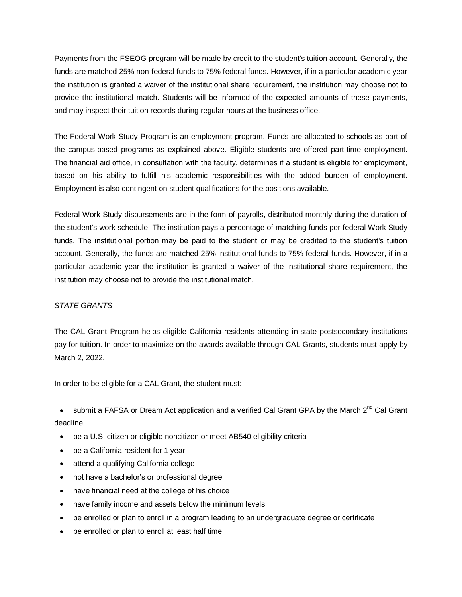Payments from the FSEOG program will be made by credit to the student's tuition account. Generally, the funds are matched 25% non-federal funds to 75% federal funds. However, if in a particular academic year the institution is granted a waiver of the institutional share requirement, the institution may choose not to provide the institutional match. Students will be informed of the expected amounts of these payments, and may inspect their tuition records during regular hours at the business office.

The Federal Work Study Program is an employment program. Funds are allocated to schools as part of the campus-based programs as explained above. Eligible students are offered part-time employment. The financial aid office, in consultation with the faculty, determines if a student is eligible for employment, based on his ability to fulfill his academic responsibilities with the added burden of employment. Employment is also contingent on student qualifications for the positions available.

Federal Work Study disbursements are in the form of payrolls, distributed monthly during the duration of the student's work schedule. The institution pays a percentage of matching funds per federal Work Study funds. The institutional portion may be paid to the student or may be credited to the student's tuition account. Generally, the funds are matched 25% institutional funds to 75% federal funds. However, if in a particular academic year the institution is granted a waiver of the institutional share requirement, the institution may choose not to provide the institutional match.

## *STATE GRANTS*

The CAL Grant Program helps eligible California residents attending in-state postsecondary institutions pay for tuition. In order to maximize on the awards available through CAL Grants, students must apply by March 2, 2022.

In order to be eligible for a CAL Grant, the student must:

• submit a FAFSA or Dream Act application and a verified Cal Grant GPA by the March 2<sup>nd</sup> Cal Grant deadline

- be a U.S. citizen or eligible noncitizen or meet AB540 eligibility criteria
- be a California resident for 1 year
- attend a qualifying California college
- not have a bachelor's or professional degree
- have financial need at the college of his choice
- have family income and assets below the minimum levels
- be enrolled or plan to enroll in a program leading to an undergraduate degree or certificate
- be enrolled or plan to enroll at least half time